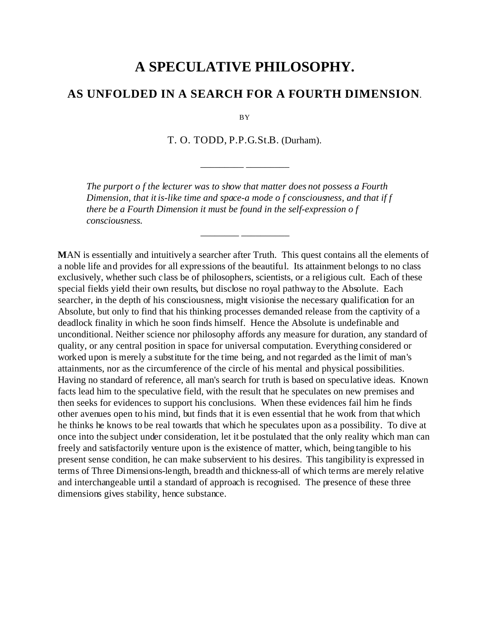## **A SPECULATIVE PHILOSOPHY.**

## **AS UNFOLDED IN A SEARCH FOR A FOURTH DIMENSION**.

**BY** 

T. O. TODD, P.P.G.St.B. (Durham).

\_\_\_\_\_\_\_\_\_ \_\_\_\_\_\_\_\_\_

*The purport o f the lecturer was to show that matter does not possess a Fourth Dimension, that it is-like time and space-a mode o f consciousness, and that if f there be a Fourth Dimension it must be found in the self-expression o f consciousness.*

\_\_\_\_\_\_\_\_ \_\_\_\_\_\_\_\_\_\_

**M**AN is essentially and intuitively a searcher after Truth. This quest contains all the elements of a noble life and provides for all expressions of the beautiful. Its attainment belongs to no class exclusively, whether such class be of philosophers, scientists, or a religious cult. Each of these special fields yield their own results, but disclose no royal pathway to the Absolute. Each searcher, in the depth of his consciousness, might visionise the necessary qualification for an Absolute, but only to find that his thinking processes demanded release from the captivity of a deadlock finality in which he soon finds himself. Hence the Absolute is undefinable and unconditional. Neither science nor philosophy affords any measure for duration, any standard of quality, or any central position in space for universal computation. Everything considered or worked upon is merely a substitute for the time being, and not regarded as the limit of man's attainments, nor as the circumference of the circle of his mental and physical possibilities. Having no standard of reference, all man's search for truth is based on speculative ideas. Known facts lead him to the speculative field, with the result that he speculates on new premises and then seeks for evidences to support his conclusions. When these evidences fail him he finds other avenues open to his mind, but finds that it is even essential that he work from that which he thinks he knows to be real towards that which he speculates upon as a possibility. To dive at once into the subject under consideration, let it be postulated that the only reality which man can freely and satisfactorily venture upon is the existence of matter, which, being tangible to his present sense condition, he can make subservient to his desires. This tangibility is expressed in terms of Three Dimensions-length, breadth and thickness-all of which terms are merely relative and interchangeable until a standard of approach is recognised. The presence of these three dimensions gives stability, hence substance.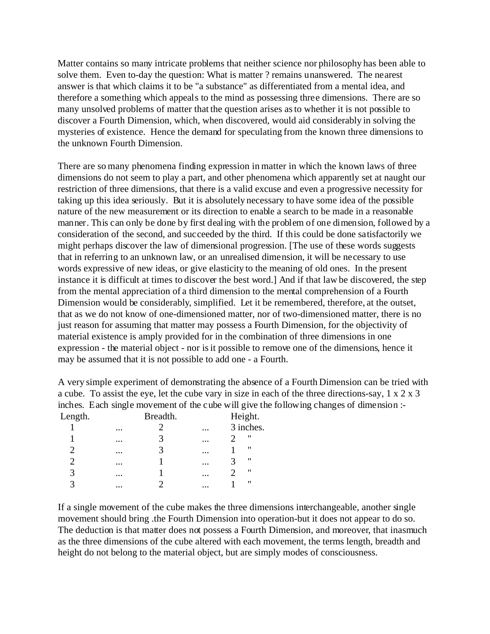Matter contains so many intricate problems that neither science nor philosophy has been able to solve them. Even to-day the question: What is matter ? remains unanswered. The nearest answer is that which claims it to be "a substance" as differentiated from a mental idea, and therefore a something which appeals to the mind as possessing three dimensions. There are so many unsolved problems of matter that the question arises as to whether it is not possible to discover a Fourth Dimension, which, when discovered, would aid considerably in solving the mysteries of existence. Hence the demand for speculating from the known three dimensions to the unknown Fourth Dimension.

There are so many phenomena finding expression in matter in which the known laws of three dimensions do not seem to play a part, and other phenomena which apparently set at naught our restriction of three dimensions, that there is a valid excuse and even a progressive necessity for taking up this idea seriously. But it is absolutely necessary to have some idea of the possible nature of the new measurement or its direction to enable a search to be made in a reasonable manner. This can only be done by first dealing with the problem of one dimension, followed by a consideration of the second, and succeeded by the third. If this could be done satisfactorily we might perhaps discover the law of dimensional progression. [The use of these words suggests that in referring to an unknown law, or an unrealised dimension, it will be necessary to use words expressive of new ideas, or give elasticity to the meaning of old ones. In the present instance it is difficult at times to discover the best word.] And if that law be discovered, the step from the mental appreciation of a third dimension to the mental comprehension of a Fourth Dimension would be considerably, simplified. Let it be remembered, therefore, at the outset, that as we do not know of one-dimensioned matter, nor of two-dimensioned matter, there is no just reason for assuming that matter may possess a Fourth Dimension, for the objectivity of material existence is amply provided for in the combination of three dimensions in one expression - the material object - nor is it possible to remove one of the dimensions, hence it may be assumed that it is not possible to add one - a Fourth.

A very simple experiment of demonstrating the absence of a Fourth Dimension can be tried with a cube. To assist the eye, let the cube vary in size in each of the three directions-say, 1 x 2 x 3 inches. Each single movement of the cube will give the following changes of dimension :-

| Length.                     | Breadth. |  |          | Height.   |                    |
|-----------------------------|----------|--|----------|-----------|--------------------|
|                             | $\cdots$ |  | $\cdots$ | 3 inches. |                    |
|                             | $\cdots$ |  |          |           | "                  |
| 2                           | $\cdots$ |  |          |           | "                  |
| $\mathcal{D}_{\mathcal{L}}$ | $\cdots$ |  | $\cdots$ |           | $^{\prime \prime}$ |
| 3                           | $\cdots$ |  |          |           | "                  |
| 2                           | $\cdots$ |  | $\cdots$ |           | $^{\prime \prime}$ |
|                             |          |  |          |           |                    |

If a single movement of the cube makes the three dimensions interchangeable, another single movement should bring .the Fourth Dimension into operation-but it does not appear to do so. The deduction is that matter does not possess a Fourth Dimension, and moreover, that inasmuch as the three dimensions of the cube altered with each movement, the terms length, breadth and height do not belong to the material object, but are simply modes of consciousness.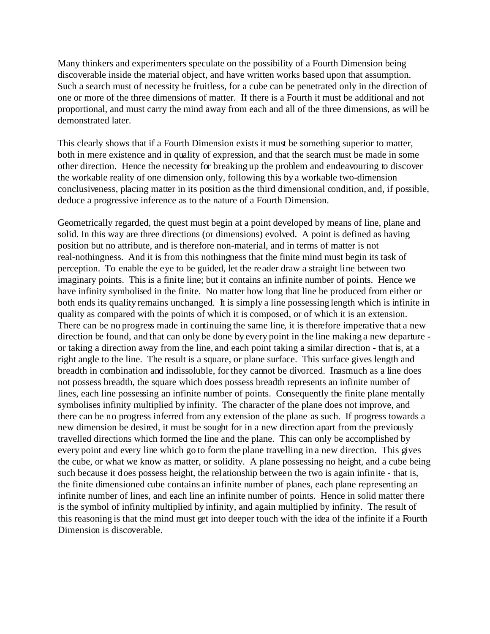Many thinkers and experimenters speculate on the possibility of a Fourth Dimension being discoverable inside the material object, and have written works based upon that assumption. Such a search must of necessity be fruitless, for a cube can be penetrated only in the direction of one or more of the three dimensions of matter. If there is a Fourth it must be additional and not proportional, and must carry the mind away from each and all of the three dimensions, as will be demonstrated later.

This clearly shows that if a Fourth Dimension exists it must be something superior to matter, both in mere existence and in quality of expression, and that the search must be made in some other direction. Hence the necessity for breaking up the problem and endeavouring to discover the workable reality of one dimension only, following this by a workable two-dimension conclusiveness, placing matter in its position as the third dimensional condition, and, if possible, deduce a progressive inference as to the nature of a Fourth Dimension.

Geometrically regarded, the quest must begin at a point developed by means of line, plane and solid. In this way are three directions (or dimensions) evolved. A point is defined as having position but no attribute, and is therefore non-material, and in terms of matter is not real-nothingness. And it is from this nothingness that the finite mind must begin its task of perception. To enable the eye to be guided, let the reader draw a straight line between two imaginary points. This is a finite line; but it contains an infinite number of points. Hence we have infinity symbolised in the finite. No matter how long that line be produced from either or both ends its quality remains unchanged. It is simply a line possessing length which is infinite in quality as compared with the points of which it is composed, or of which it is an extension. There can be no progress made in continuing the same line, it is therefore imperative that a new direction be found, and that can only be done by every point in the line making a new departure or taking a direction away from the line, and each point taking a similar direction - that is, at a right angle to the line. The result is a square, or plane surface. This surface gives length and breadth in combination and indissoluble, for they cannot be divorced. Inasmuch as a line does not possess breadth, the square which does possess breadth represents an infinite number of lines, each line possessing an infinite number of points. Consequently the finite plane mentally symbolises infinity multiplied by infinity. The character of the plane does not improve, and there can be no progress inferred from any extension of the plane as such. If progress towards a new dimension be desired, it must be sought for in a new direction apart from the previously travelled directions which formed the line and the plane. This can only be accomplished by every point and every line which go to form the plane travelling in a new direction. This gives the cube, or what we know as matter, or solidity. A plane possessing no height, and a cube being such because it does possess height, the relationship between the two is again infinite - that is, the finite dimensioned cube contains an infinite number of planes, each plane representing an infinite number of lines, and each line an infinite number of points. Hence in solid matter there is the symbol of infinity multiplied by infinity, and again multiplied by infinity. The result of this reasoning is that the mind must get into deeper touch with the idea of the infinite if a Fourth Dimension is discoverable.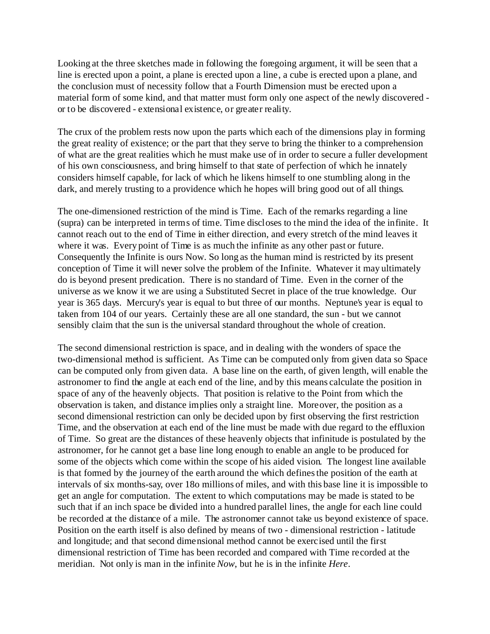Looking at the three sketches made in following the foregoing argument, it will be seen that a line is erected upon a point, a plane is erected upon a line, a cube is erected upon a plane, and the conclusion must of necessity follow that a Fourth Dimension must be erected upon a material form of some kind, and that matter must form only one aspect of the newly discovered or to be discovered - extensional existence, or greater reality.

The crux of the problem rests now upon the parts which each of the dimensions play in forming the great reality of existence; or the part that they serve to bring the thinker to a comprehension of what are the great realities which he must make use of in order to secure a fuller development of his own consciousness, and bring himself to that state of perfection of which he innately considers himself capable, for lack of which he likens himself to one stumbling along in the dark, and merely trusting to a providence which he hopes will bring good out of all things.

The one-dimensioned restriction of the mind is Time. Each of the remarks regarding a line (supra) can be interpreted in terms of time. Time discloses to the mind the idea of the infinite. It cannot reach out to the end of Time in either direction, and every stretch of the mind leaves it where it was. Every point of Time is as much the infinite as any other past or future. Consequently the Infinite is ours Now. So long as the human mind is restricted by its present conception of Time it will never solve the problem of the Infinite. Whatever it may ultimately do is beyond present predication. There is no standard of Time. Even in the corner of the universe as we know it we are using a Substituted Secret in place of the true knowledge. Our year is 365 days. Mercury's year is equal to but three of our months. Neptune's year is equal to taken from 104 of our years. Certainly these are all one standard, the sun - but we cannot sensibly claim that the sun is the universal standard throughout the whole of creation.

The second dimensional restriction is space, and in dealing with the wonders of space the two-dimensional method is sufficient. As Time can be computed only from given data so Space can be computed only from given data. A base line on the earth, of given length, will enable the astronomer to find the angle at each end of the line, and by this means calculate the position in space of any of the heavenly objects. That position is relative to the Point from which the observation is taken, and distance implies only a straight line. Moreover, the position as a second dimensional restriction can only be decided upon by first observing the first restriction Time, and the observation at each end of the line must be made with due regard to the effluxion of Time. So great are the distances of these heavenly objects that infinitude is postulated by the astronomer, for he cannot get a base line long enough to enable an angle to be produced for some of the objects which come within the scope of his aided vision. The longest line available is that formed by the journey of the earth around the which defines the position of the earth at intervals of six months-say, over 18o millions of miles, and with this base line it is impossible to get an angle for computation. The extent to which computations may be made is stated to be such that if an inch space be divided into a hundred parallel lines, the angle for each line could be recorded at the distance of a mile. The astronomer cannot take us beyond existence of space. Position on the earth itself is also defined by means of two - dimensional restriction - latitude and longitude; and that second dimensional method cannot be exercised until the first dimensional restriction of Time has been recorded and compared with Time recorded at the meridian. Not only is man in the infinite *Now*, but he is in the infinite *Here*.